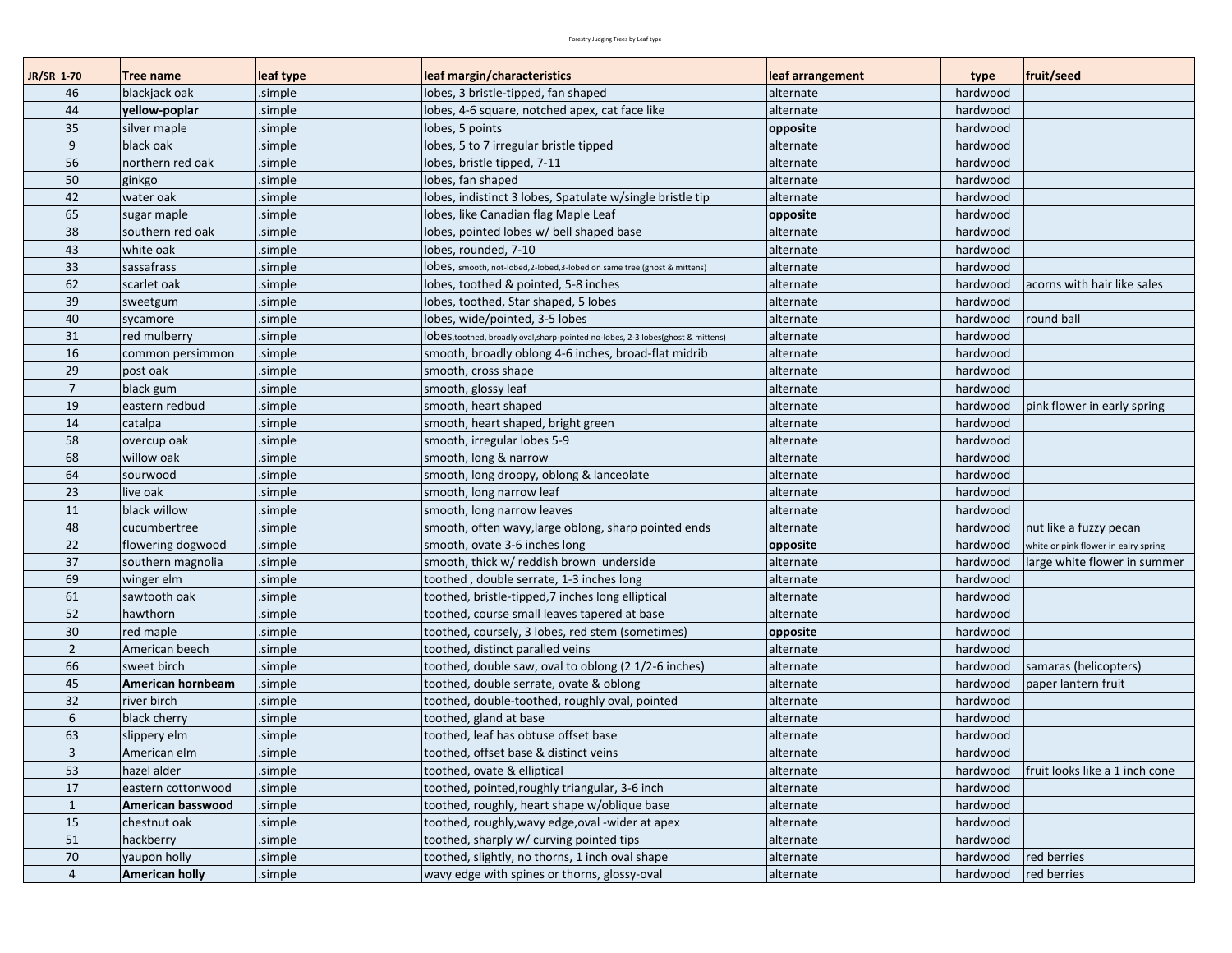| JR/SR 1-70     | <b>Tree name</b>      | leaf type | leaf margin/characteristics                                                      | leaf arrangement | type     | fruit/seed                           |
|----------------|-----------------------|-----------|----------------------------------------------------------------------------------|------------------|----------|--------------------------------------|
| 46             | blackjack oak         | .simple   | lobes, 3 bristle-tipped, fan shaped                                              | alternate        | hardwood |                                      |
| 44             | yellow-poplar         | .simple   | lobes, 4-6 square, notched apex, cat face like                                   | alternate        | hardwood |                                      |
| 35             | silver maple          | simple    | lobes, 5 points                                                                  | opposite         | hardwood |                                      |
| 9              | black oak             | .simple   | lobes, 5 to 7 irregular bristle tipped                                           | alternate        | hardwood |                                      |
| 56             | northern red oak      | simple    | lobes, bristle tipped, 7-11                                                      | alternate        | hardwood |                                      |
| 50             | ginkgo                | .simple   | lobes, fan shaped                                                                | alternate        | hardwood |                                      |
| 42             | water oak             | .simple   | lobes, indistinct 3 lobes, Spatulate w/single bristle tip                        | alternate        | hardwood |                                      |
| 65             | sugar maple           | simple    | lobes, like Canadian flag Maple Leaf                                             | opposite         | hardwood |                                      |
| 38             | southern red oak      | .simple   | lobes, pointed lobes w/ bell shaped base                                         | alternate        | hardwood |                                      |
| 43             | white oak             | simple    | lobes, rounded, 7-10                                                             | alternate        | hardwood |                                      |
| 33             | sassafrass            | .simple   | ODES, smooth, not-lobed,2-lobed,3-lobed on same tree (ghost & mittens)           | alternate        | hardwood |                                      |
| 62             | scarlet oak           | simple    | lobes, toothed & pointed, 5-8 inches                                             | alternate        | hardwood | acorns with hair like sales          |
| 39             | sweetgum              | .simple   | lobes, toothed, Star shaped, 5 lobes                                             | alternate        | hardwood |                                      |
| 40             | sycamore              | .simple   | lobes, wide/pointed, 3-5 lobes                                                   | alternate        | hardwood | round ball                           |
| 31             | red mulberry          | .simple   | ODES, toothed, broadly oval, sharp-pointed no-lobes, 2-3 lobes (ghost & mittens) | alternate        | hardwood |                                      |
| 16             | common persimmon      | .simple   | smooth, broadly oblong 4-6 inches, broad-flat midrib                             | alternate        | hardwood |                                      |
| 29             | post oak              | .simple   | smooth, cross shape                                                              | alternate        | hardwood |                                      |
| $\overline{7}$ | black gum             | .simple   | smooth, glossy leaf                                                              | alternate        | hardwood |                                      |
| 19             | eastern redbud        | simple    | smooth, heart shaped                                                             | alternate        | hardwood | pink flower in early spring          |
| 14             | catalpa               | .simple   | smooth, heart shaped, bright green                                               | alternate        | hardwood |                                      |
| 58             | overcup oak           | .simple   | smooth, irregular lobes 5-9                                                      | alternate        | hardwood |                                      |
| 68             | willow oak            | simple    | smooth, long & narrow                                                            | alternate        | hardwood |                                      |
| 64             | sourwood              | .simple   | smooth, long droopy, oblong & lanceolate                                         | alternate        | hardwood |                                      |
| 23             | live oak              | .simple   | smooth, long narrow leaf                                                         | alternate        | hardwood |                                      |
| 11             | black willow          | simple.   | smooth, long narrow leaves                                                       | alternate        | hardwood |                                      |
| 48             | cucumbertree          | simple    | smooth, often wavy, large oblong, sharp pointed ends                             | alternate        | hardwood | nut like a fuzzy pecan               |
| 22             | flowering dogwood     | .simple   | smooth, ovate 3-6 inches long                                                    | opposite         | hardwood | white or pink flower in ealry spring |
| 37             | southern magnolia     | simple    | smooth, thick w/ reddish brown underside                                         | alternate        | hardwood | large white flower in summer         |
| 69             | winger elm            | .simple   | toothed, double serrate, 1-3 inches long                                         | alternate        | hardwood |                                      |
| 61             | sawtooth oak          | .simple   | toothed, bristle-tipped,7 inches long elliptical                                 | alternate        | hardwood |                                      |
| 52             | hawthorn              | simple    | toothed, course small leaves tapered at base                                     | alternate        | hardwood |                                      |
| 30             | red maple             | simple.   | toothed, coursely, 3 lobes, red stem (sometimes)                                 | opposite         | hardwood |                                      |
| $\overline{2}$ | American beech        | simple    | toothed, distinct paralled veins                                                 | alternate        | hardwood |                                      |
| 66             | sweet birch           | .simple   | toothed, double saw, oval to oblong (2 1/2-6 inches)                             | alternate        | hardwood | samaras (helicopters)                |
| 45             | American hornbeam     | .simple   | toothed, double serrate, ovate & oblong                                          | alternate        | hardwood | paper lantern fruit                  |
| 32             | river birch           | .simple   | toothed, double-toothed, roughly oval, pointed                                   | alternate        | hardwood |                                      |
| 6              | black cherry          | .simple   | toothed, gland at base                                                           | alternate        | hardwood |                                      |
| 63             | slippery elm          | simple    | toothed, leaf has obtuse offset base                                             | alternate        | hardwood |                                      |
| $\overline{3}$ | American elm          | .simple   | toothed, offset base & distinct veins                                            | alternate        | hardwood |                                      |
| 53             | hazel alder           | .simple   | toothed, ovate & elliptical                                                      | alternate        | hardwood | fruit looks like a 1 inch cone       |
| 17             | eastern cottonwood    | .simple   | toothed, pointed, roughly triangular, 3-6 inch                                   | alternate        | hardwood |                                      |
| $\mathbf{1}$   | American basswood     | .simple   | toothed, roughly, heart shape w/oblique base                                     | alternate        | hardwood |                                      |
| 15             | chestnut oak          | .simple   | toothed, roughly, wavy edge, oval -wider at apex                                 | alternate        | hardwood |                                      |
| 51             | hackberry             | .simple   | toothed, sharply w/ curving pointed tips                                         | alternate        | hardwood |                                      |
| 70             | yaupon holly          | .simple   | toothed, slightly, no thorns, 1 inch oval shape                                  | alternate        | hardwood | red berries                          |
| $\overline{4}$ | <b>American holly</b> | .simple   | wavy edge with spines or thorns, glossy-oval                                     | alternate        | hardwood | red berries                          |